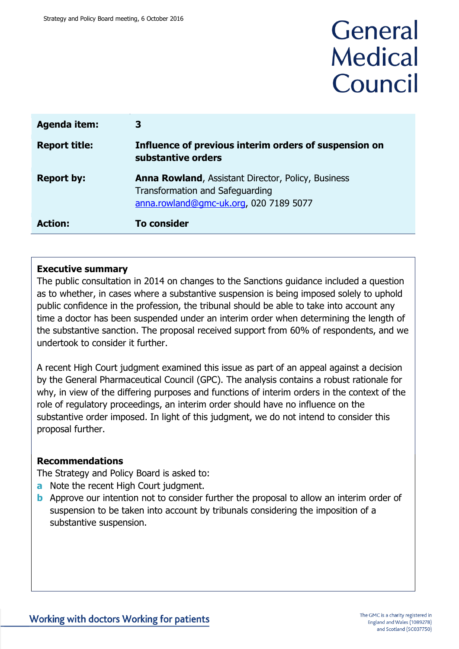# General **Medical** Council

| <b>Agenda item:</b>  | З                                                                                                                                      |
|----------------------|----------------------------------------------------------------------------------------------------------------------------------------|
| <b>Report title:</b> | Influence of previous interim orders of suspension on<br>substantive orders                                                            |
| <b>Report by:</b>    | <b>Anna Rowland, Assistant Director, Policy, Business</b><br>Transformation and Safeguarding<br>anna.rowland@gmc-uk.org, 020 7189 5077 |
| <b>Action:</b>       | <b>To consider</b>                                                                                                                     |

#### **Executive summary**

The public consultation in 2014 on changes to the Sanctions guidance included a question as to whether, in cases where a substantive suspension is being imposed solely to uphold public confidence in the profession, the tribunal should be able to take into account any time a doctor has been suspended under an interim order when determining the length of the substantive sanction. The proposal received support from 60% of respondents, and we undertook to consider it further.

A recent High Court judgment examined this issue as part of an appeal against a decision by the General Pharmaceutical Council (GPC). The analysis contains a robust rationale for why, in view of the differing purposes and functions of interim orders in the context of the role of regulatory proceedings, an interim order should have no influence on the substantive order imposed. In light of this judgment, we do not intend to consider this proposal further.

#### **Recommendations**

The Strategy and Policy Board is asked to:

- **a** Note the recent High Court judgment.
- **b** Approve our intention not to consider further the proposal to allow an interim order of suspension to be taken into account by tribunals considering the imposition of a substantive suspension.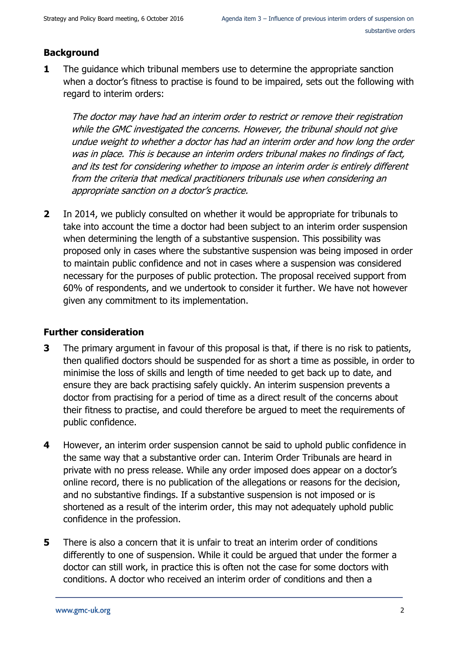# **Background**

**1** The guidance which tribunal members use to determine the appropriate sanction when a doctor's fitness to practise is found to be impaired, sets out the following with regard to interim orders:

The doctor may have had an interim order to restrict or remove their registration while the GMC investigated the concerns. However, the tribunal should not give undue weight to whether a doctor has had an interim order and how long the order was in place. This is because an interim orders tribunal makes no findings of fact, and its test for considering whether to impose an interim order is entirely different from the criteria that medical practitioners tribunals use when considering an appropriate sanction on a doctor's practice.

**2** In 2014, we publicly consulted on whether it would be appropriate for tribunals to take into account the time a doctor had been subject to an interim order suspension when determining the length of a substantive suspension. This possibility was proposed only in cases where the substantive suspension was being imposed in order to maintain public confidence and not in cases where a suspension was considered necessary for the purposes of public protection. The proposal received support from 60% of respondents, and we undertook to consider it further. We have not however given any commitment to its implementation.

## **Further consideration**

- **3** The primary argument in favour of this proposal is that, if there is no risk to patients, then qualified doctors should be suspended for as short a time as possible, in order to minimise the loss of skills and length of time needed to get back up to date, and ensure they are back practising safely quickly. An interim suspension prevents a doctor from practising for a period of time as a direct result of the concerns about their fitness to practise, and could therefore be argued to meet the requirements of public confidence.
- **4** However, an interim order suspension cannot be said to uphold public confidence in the same way that a substantive order can. Interim Order Tribunals are heard in private with no press release. While any order imposed does appear on a doctor's online record, there is no publication of the allegations or reasons for the decision, and no substantive findings. If a substantive suspension is not imposed or is shortened as a result of the interim order, this may not adequately uphold public confidence in the profession.
- **5** There is also a concern that it is unfair to treat an interim order of conditions differently to one of suspension. While it could be argued that under the former a doctor can still work, in practice this is often not the case for some doctors with conditions. A doctor who received an interim order of conditions and then a